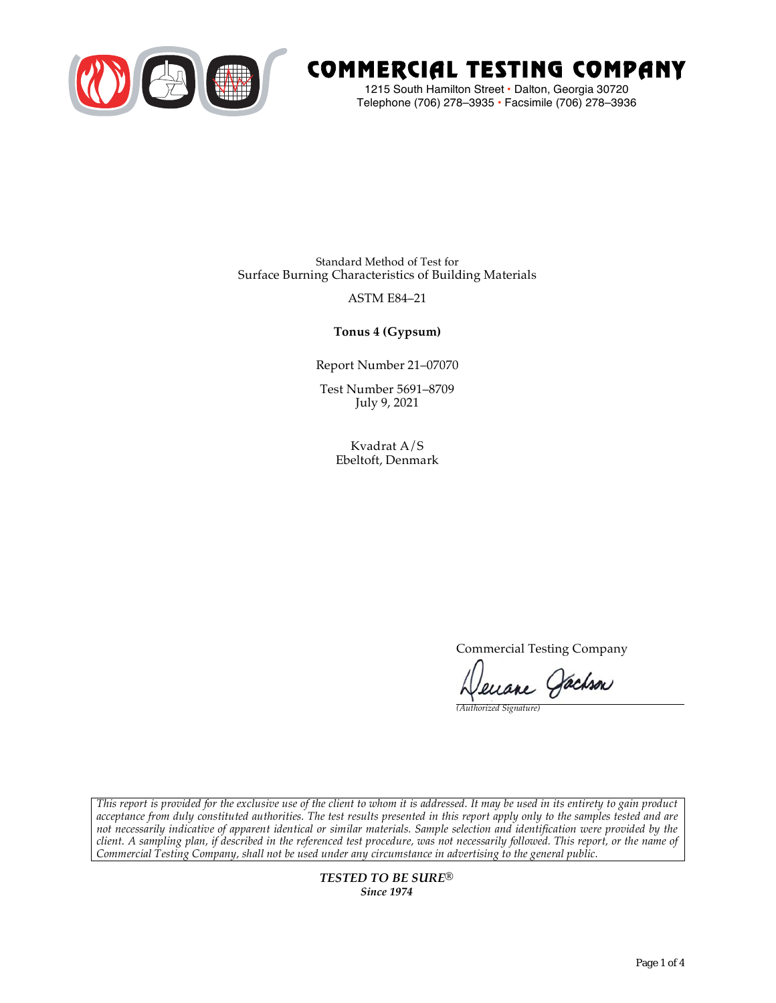

# COMMERCIAL TESTING COMPANY

1215 South Hamilton Street • Dalton, Georgia 30720 Telephone (706) 278–3935 **•** Facsimile (706) 278–3936

Standard Method of Test for Surface Burning Characteristics of Building Materials

## ASTM E84–21

**Tonus 4 (Gypsum)**

Report Number 21–07070

Test Number 5691–8709 July 9, 2021

> Kvadrat A/S Ebeltoft, Denmark

> > Commercial Testing Company

enane Jachson

*(Authorized Signature)* 

*This report is provided for the exclusive use of the client to whom it is addressed. It may be used in its entirety to gain product acceptance from duly constituted authorities. The test results presented in this report apply only to the samples tested and are not necessarily indicative of apparent identical or similar materials. Sample selection and identification were provided by the client. A sampling plan, if described in the referenced test procedure, was not necessarily followed. This report, or the name of Commercial Testing Company, shall not be used under any circumstance in advertising to the general public.* 

> *TESTED TO BE SURE® Since 1974*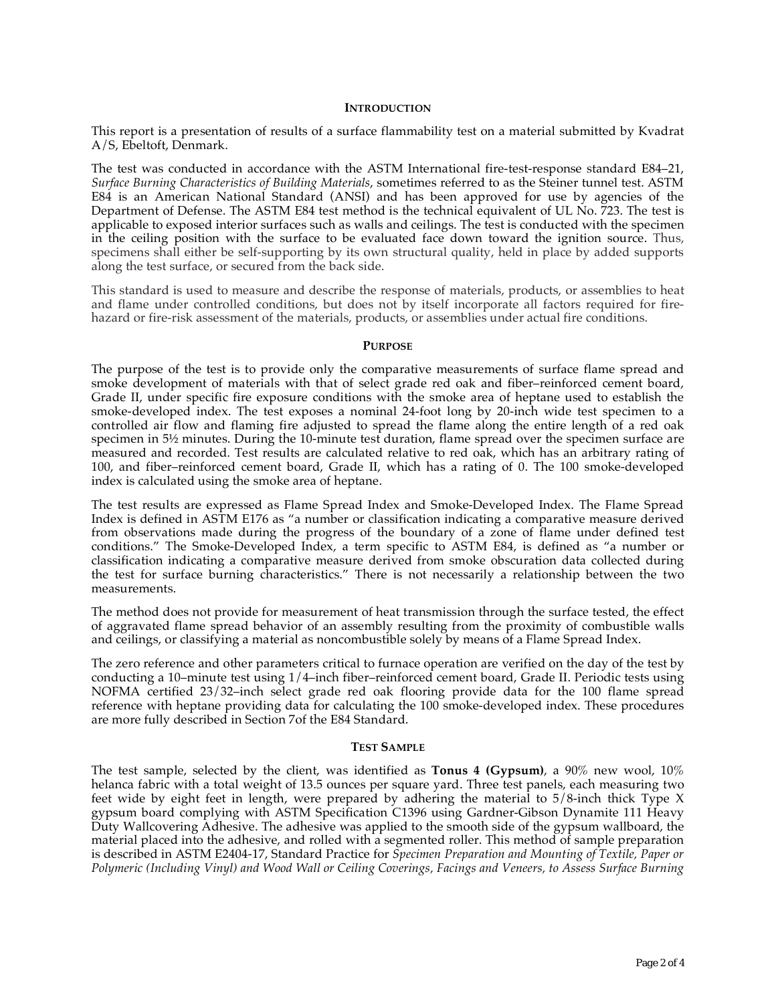#### **INTRODUCTION**

This report is a presentation of results of a surface flammability test on a material submitted by Kvadrat A/S, Ebeltoft, Denmark.

The test was conducted in accordance with the ASTM International fire-test-response standard E84–21, *Surface Burning Characteristics of Building Materials*, sometimes referred to as the Steiner tunnel test. ASTM E84 is an American National Standard (ANSI) and has been approved for use by agencies of the Department of Defense. The ASTM E84 test method is the technical equivalent of UL No. 723. The test is applicable to exposed interior surfaces such as walls and ceilings. The test is conducted with the specimen in the ceiling position with the surface to be evaluated face down toward the ignition source. Thus, specimens shall either be self-supporting by its own structural quality, held in place by added supports along the test surface, or secured from the back side.

This standard is used to measure and describe the response of materials, products, or assemblies to heat and flame under controlled conditions, but does not by itself incorporate all factors required for firehazard or fire-risk assessment of the materials, products, or assemblies under actual fire conditions.

#### **PURPOSE**

The purpose of the test is to provide only the comparative measurements of surface flame spread and smoke development of materials with that of select grade red oak and fiber–reinforced cement board, Grade II, under specific fire exposure conditions with the smoke area of heptane used to establish the smoke-developed index. The test exposes a nominal 24-foot long by 20-inch wide test specimen to a controlled air flow and flaming fire adjusted to spread the flame along the entire length of a red oak specimen in  $5\frac{1}{2}$  minutes. During the 10-minute test duration, flame spread over the specimen surface are measured and recorded. Test results are calculated relative to red oak, which has an arbitrary rating of 100, and fiber–reinforced cement board, Grade II, which has a rating of 0. The 100 smoke-developed index is calculated using the smoke area of heptane.

The test results are expressed as Flame Spread Index and Smoke-Developed Index. The Flame Spread Index is defined in ASTM E176 as "a number or classification indicating a comparative measure derived from observations made during the progress of the boundary of a zone of flame under defined test conditions." The Smoke-Developed Index, a term specific to ASTM E84, is defined as "a number or classification indicating a comparative measure derived from smoke obscuration data collected during the test for surface burning characteristics." There is not necessarily a relationship between the two measurements.

The method does not provide for measurement of heat transmission through the surface tested, the effect of aggravated flame spread behavior of an assembly resulting from the proximity of combustible walls and ceilings, or classifying a material as noncombustible solely by means of a Flame Spread Index.

The zero reference and other parameters critical to furnace operation are verified on the day of the test by conducting a 10–minute test using 1/4–inch fiber–reinforced cement board, Grade II. Periodic tests using NOFMA certified 23/32–inch select grade red oak flooring provide data for the 100 flame spread reference with heptane providing data for calculating the 100 smoke-developed index. These procedures are more fully described in Section 7of the E84 Standard.

#### **TEST SAMPLE**

The test sample, selected by the client, was identified as **Tonus 4 (Gypsum)**, a 90% new wool, 10% helanca fabric with a total weight of 13.5 ounces per square yard. Three test panels, each measuring two feet wide by eight feet in length, were prepared by adhering the material to 5/8-inch thick Type X gypsum board complying with ASTM Specification C1396 using Gardner-Gibson Dynamite 111 Heavy Duty Wallcovering Adhesive. The adhesive was applied to the smooth side of the gypsum wallboard, the material placed into the adhesive, and rolled with a segmented roller. This method of sample preparation is described in ASTM E2404-17, Standard Practice for *Specimen Preparation and Mounting of Textile, Paper or Polymeric (Including Vinyl) and Wood Wall or Ceiling Coverings, Facings and Veneers, to Assess Surface Burning*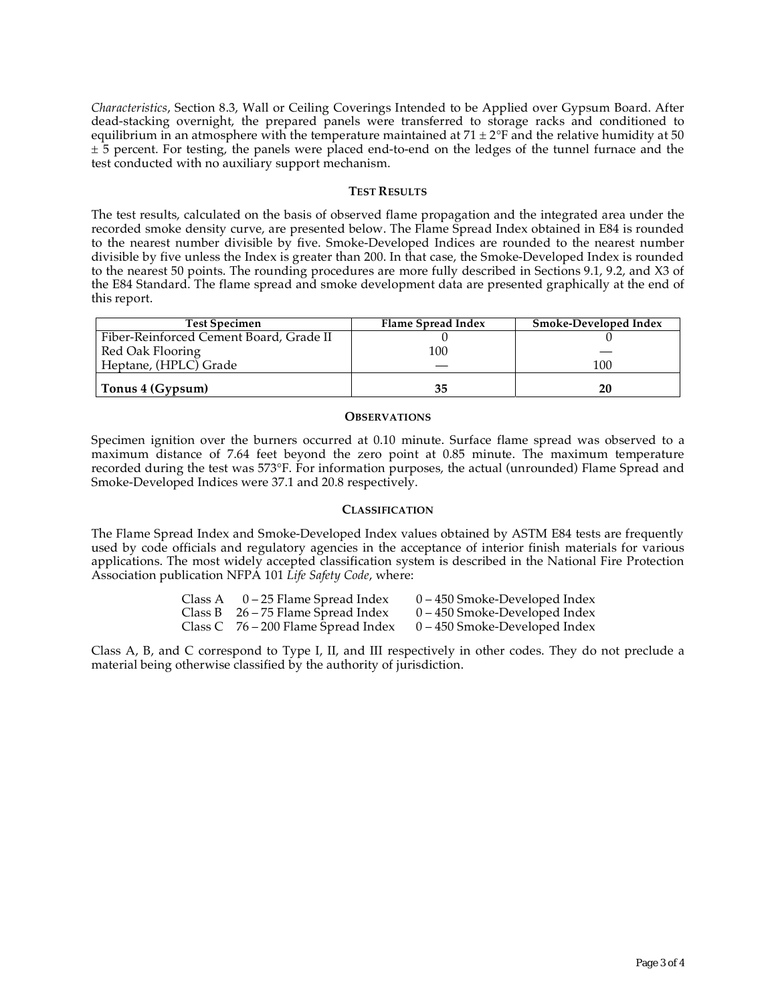*Characteristics*, Section 8.3, Wall or Ceiling Coverings Intended to be Applied over Gypsum Board. After dead-stacking overnight, the prepared panels were transferred to storage racks and conditioned to equilibrium in an atmosphere with the temperature maintained at  $71 \pm 2$ °F and the relative humidity at 50  $\pm$  5 percent. For testing, the panels were placed end-to-end on the ledges of the tunnel furnace and the test conducted with no auxiliary support mechanism.

#### **TEST RESULTS**

The test results, calculated on the basis of observed flame propagation and the integrated area under the recorded smoke density curve, are presented below. The Flame Spread Index obtained in E84 is rounded to the nearest number divisible by five. Smoke-Developed Indices are rounded to the nearest number divisible by five unless the Index is greater than 200. In that case, the Smoke-Developed Index is rounded to the nearest 50 points. The rounding procedures are more fully described in Sections 9.1, 9.2, and X3 of the E84 Standard. The flame spread and smoke development data are presented graphically at the end of this report.

| <b>Test Specimen</b>                    | Flame Spread Index | Smoke-Developed Index |
|-----------------------------------------|--------------------|-----------------------|
| Fiber-Reinforced Cement Board, Grade II |                    |                       |
| Red Oak Flooring                        | 100                |                       |
| Heptane, (HPLC) Grade                   |                    | 100                   |
| Tonus 4 (Gypsum)                        | 35                 | 20                    |

#### **OBSERVATIONS**

Specimen ignition over the burners occurred at 0.10 minute. Surface flame spread was observed to a maximum distance of 7.64 feet beyond the zero point at 0.85 minute. The maximum temperature recorded during the test was 573°F. For information purposes, the actual (unrounded) Flame Spread and Smoke-Developed Indices were 37.1 and 20.8 respectively.

### **CLASSIFICATION**

The Flame Spread Index and Smoke-Developed Index values obtained by ASTM E84 tests are frequently used by code officials and regulatory agencies in the acceptance of interior finish materials for various applications. The most widely accepted classification system is described in the National Fire Protection Association publication NFPA 101 *Life Safety Code*, where:

| Class A | 0 – 25 Flame Spread Index             | 0 – 450 Smoke-Developed Index   |
|---------|---------------------------------------|---------------------------------|
|         | Class B $26 - 75$ Flame Spread Index  | $0 - 450$ Smoke-Developed Index |
|         | Class C $76 - 200$ Flame Spread Index | $0 - 450$ Smoke-Developed Index |

Class A, B, and C correspond to Type I, II, and III respectively in other codes. They do not preclude a material being otherwise classified by the authority of jurisdiction.